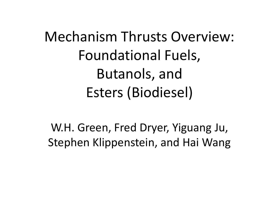Mechanism Thrusts Overview: Foundational Fuels, Butanols, and Esters (Biodiesel)

W.H. Green, Fred Dryer, Yiguang Ju, Stephen Klippenstein, and Hai Wang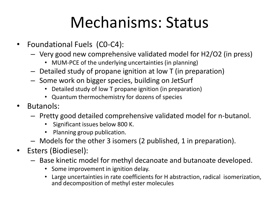#### Mechanisms: Status

- Foundational Fuels (C0-C4):
	- Very good new comprehensive validated model for H2/O2 (in press)
		- MUM-PCE of the underlying uncertainties (in planning)
	- Detailed study of propane ignition at low T (in preparation)
	- Some work on bigger species, building on JetSurf
		- Detailed study of low T propane ignition (in preparation)
		- Quantum thermochemistry for dozens of species
- Butanols:
	- Pretty good detailed comprehensive validated model for n-butanol.
		- Significant issues below 800 K.
		- Planning group publication.
	- Models for the other 3 isomers (2 published, 1 in preparation).
- Esters (Biodiesel):
	- Base kinetic model for methyl decanoate and butanoate developed.
		- Some improvement in ignition delay.
		- Large uncertainties in rate coefficients for H abstraction, radical isomerization, and decomposition of methyl ester molecules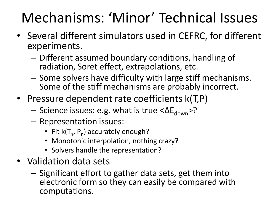#### Mechanisms: 'Minor' Technical Issues

- Several different simulators used in CEFRC, for different experiments.
	- Different assumed boundary conditions, handling of radiation, Soret effect, extrapolations, etc.
	- Some solvers have difficulty with large stiff mechanisms. Some of the stiff mechanisms are probably incorrect.
- Pressure dependent rate coefficients  $k(T,P)$ 
	- Science issues: e.g. what is true  $\langle \Delta E_{down} \rangle$ ?
	- Representation issues:
		- Fit  $k(T_n, P_n)$  accurately enough?
		- Monotonic interpolation, nothing crazy?
		- Solvers handle the representation?
- Validation data sets
	- Significant effort to gather data sets, get them into electronic form so they can easily be compared with computations.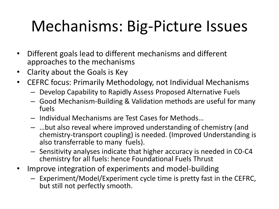# Mechanisms: Big-Picture Issues

- Different goals lead to different mechanisms and different approaches to the mechanisms
- Clarity about the Goals is Key
- CEFRC focus: Primarily Methodology, not Individual Mechanisms
	- Develop Capability to Rapidly Assess Proposed Alternative Fuels
	- Good Mechanism-Building & Validation methods are useful for many fuels
	- Individual Mechanisms are Test Cases for Methods…
	- …but also reveal where improved understanding of chemistry (and chemistry-transport coupling) is needed. (Improved Understanding is also transferrable to many fuels).
	- Sensitivity analyses indicate that higher accuracy is needed in C0-C4 chemistry for all fuels: hence Foundational Fuels Thrust
- Improve integration of experiments and model-building
	- Experiment/Model/Experiment cycle time is pretty fast in the CEFRC, but still not perfectly smooth.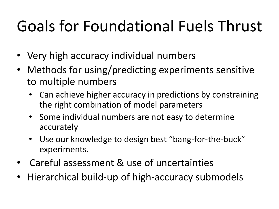# Goals for Foundational Fuels Thrust

- Very high accuracy individual numbers
- Methods for using/predicting experiments sensitive to multiple numbers
	- Can achieve higher accuracy in predictions by constraining the right combination of model parameters
	- Some individual numbers are not easy to determine accurately
	- Use our knowledge to design best "bang-for-the-buck" experiments.
- Careful assessment & use of uncertainties
- Hierarchical build-up of high-accuracy submodels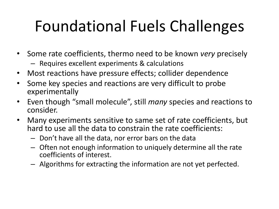# Foundational Fuels Challenges

- Some rate coefficients, thermo need to be known *very* precisely
	- Requires excellent experiments & calculations
- Most reactions have pressure effects; collider dependence
- Some key species and reactions are very difficult to probe experimentally
- Even though "small molecule", still *many* species and reactions to consider.
- Many experiments sensitive to same set of rate coefficients, but hard to use all the data to constrain the rate coefficients:
	- Don't have all the data, nor error bars on the data
	- Often not enough information to uniquely determine all the rate coefficients of interest.
	- Algorithms for extracting the information are not yet perfected.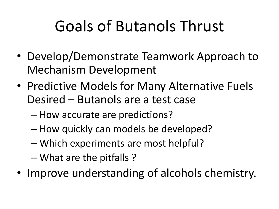# Goals of Butanols Thrust

- Develop/Demonstrate Teamwork Approach to Mechanism Development
- Predictive Models for Many Alternative Fuels Desired – Butanols are a test case
	- How accurate are predictions?
	- How quickly can models be developed?
	- Which experiments are most helpful?
	- What are the pitfalls ?
- Improve understanding of alcohols chemistry.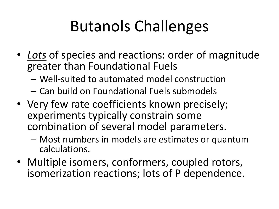# Butanols Challenges

- *Lots* of species and reactions: order of magnitude greater than Foundational Fuels
	- Well-suited to automated model construction
	- Can build on Foundational Fuels submodels
- Very few rate coefficients known precisely; experiments typically constrain some combination of several model parameters.
	- Most numbers in models are estimates or quantum calculations.
- Multiple isomers, conformers, coupled rotors, isomerization reactions; lots of P dependence.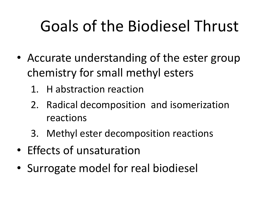# Goals of the Biodiesel Thrust

- Accurate understanding of the ester group chemistry for small methyl esters
	- 1. H abstraction reaction
	- 2. Radical decomposition and isomerization reactions
	- 3. Methyl ester decomposition reactions
- Effects of unsaturation
- Surrogate model for real biodiesel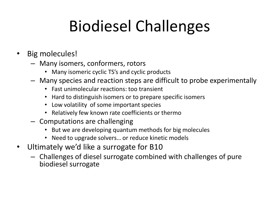# Biodiesel Challenges

- Big molecules!
	- Many isomers, conformers, rotors
		- Many isomeric cyclic TS's and cyclic products
	- Many species and reaction steps are difficult to probe experimentally
		- Fast unimolecular reactions: too transient
		- Hard to distinguish isomers or to prepare specific isomers
		- Low volatility of some important species
		- Relatively few known rate coefficients or thermo
	- Computations are challenging
		- But we are developing quantum methods for big molecules
		- Need to upgrade solvers… or reduce kinetic models
- Ultimately we'd like a surrogate for B10
	- Challenges of diesel surrogate combined with challenges of pure biodiesel surrogate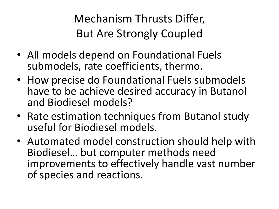Mechanism Thrusts Differ, But Are Strongly Coupled

- All models depend on Foundational Fuels submodels, rate coefficients, thermo.
- How precise do Foundational Fuels submodels have to be achieve desired accuracy in Butanol and Biodiesel models?
- Rate estimation techniques from Butanol study useful for Biodiesel models.
- Automated model construction should help with Biodiesel… but computer methods need improvements to effectively handle vast number of species and reactions.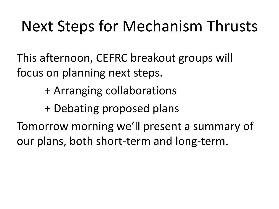#### Next Steps for Mechanism Thrusts

This afternoon, CEFRC breakout groups will focus on planning next steps.

+ Arranging collaborations

+ Debating proposed plans

Tomorrow morning we'll present a summary of our plans, both short-term and long-term.